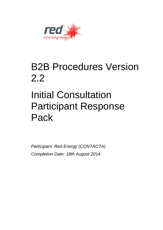

## B2B Procedures Version 2.2

# Initial Consultation Participant Response Pack

*Participant: Red Energy (CONTACTA) Completion Date: 18th August 2014*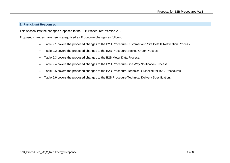#### **9. Participant Responses**

This section lists the changes proposed to the B2B Procedures: Version 2.0.

Proposed changes have been categorised as Procedure changes as follows;

- Table 9.1 covers the proposed changes to the B2B Procedure Customer and Site Details Notification Process.
- Table 9.2 covers the proposed changes to the B2B Procedure Service Order Process.
- Table 9.3 covers the proposed changes to the B2B Meter Data Process.
- Table 9.4 covers the proposed changes to the B2B Procedure One Way Notification Process.
- Table 9.5 covers the proposed changes to the B2B Procedure Technical Guideline for B2B Procedures.
- Table 9.6 covers the proposed changes to the B2B Procedure Technical Delivery Specification.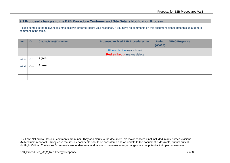### **9.1 Proposed changes to the B2B Procedure Customer and Site Details Notification Process**

Please complete the relevant columns below in order to record your response. If you have no comments on this document please note this as a general comment in the table.

| <b>Item</b> | ID  | <b>Clause/Issue/Comment</b> | <b>Proposed revised B2B Procedures text</b> | <b>Rating</b> | <b>AEMO Response</b> |
|-------------|-----|-----------------------------|---------------------------------------------|---------------|----------------------|
|             |     |                             |                                             | $(H/M/L^1)$   |                      |
|             |     |                             | Blue underline means insert                 |               |                      |
|             |     |                             | <b>Red strikeout</b> means delete           |               |                      |
| 9.1.1       | 001 | Agree                       |                                             |               |                      |
| 9.1.2       | 001 | Agree                       |                                             |               |                      |
|             |     |                             |                                             |               |                      |
|             |     |                             |                                             |               |                      |

 $1$  L= Low: Not critical. Issues / comments are minor. They add clarity to the document. No major concern if not included in any further revisions M= Medium: Important. Strong case that issue / comments should be considered and an update to the document is desirable, but not critical. H= High: Critical. The issues / comments are fundamental and failure to make necessary changes has the potential to impact consensus.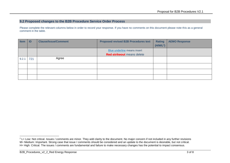### **9.2 Proposed changes to the B2B Procedure Service Order Process**

Please complete the relevant columns below in order to record your response. If you have no comments on this document please note this as a general comment in the table.

| <b>Item</b> | ID  | <b>Clause/Issue/Comment</b> | <b>Proposed revised B2B Procedures text</b> | <b>Rating</b><br>(H/M/L <sup>2</sup> ) | <b>AEMO Response</b> |
|-------------|-----|-----------------------------|---------------------------------------------|----------------------------------------|----------------------|
|             |     |                             | Blue underline means insert                 |                                        |                      |
|             |     |                             | <b>Red strikeout</b> means delete           |                                        |                      |
| 9.2.1       | 721 | Agree                       |                                             |                                        |                      |
|             |     |                             |                                             |                                        |                      |
|             |     |                             |                                             |                                        |                      |
|             |     |                             |                                             |                                        |                      |

<sup>&</sup>lt;sup>2</sup> L= Low: Not critical. Issues / comments are minor. They add clarity to the document. No major concern if not included in any further revisions M= Medium: Important. Strong case that issue / comments should be considered and an update to the document is desirable, but not critical. H= High: Critical. The issues / comments are fundamental and failure to make necessary changes has the potential to impact consensus.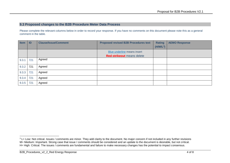#### **9.3 Proposed changes to the B2B Procedure Meter Data Process**

Please complete the relevant columns below in order to record your response. If you have no comments on this document please note this as a general comment in the table.

| <b>Item</b> | ID  | <b>Clause/Issue/Comment</b> | <b>Proposed revised B2B Procedures text</b> | <b>Rating</b><br>$(H/M/L^3)$ | <b>AEMO Response</b> |
|-------------|-----|-----------------------------|---------------------------------------------|------------------------------|----------------------|
|             |     |                             | Blue underline means insert                 |                              |                      |
|             |     |                             | <b>Red strikeout</b> means delete           |                              |                      |
| 9.3.1       | 721 | Agreed                      |                                             |                              |                      |
| 9.3.2       | 721 | Agreed                      |                                             |                              |                      |
| 9.3.3       | 721 | Agreed                      |                                             |                              |                      |
| 9.3.4       | 721 | Agreed                      |                                             |                              |                      |
| 9.3.5       | 721 | Agreed                      |                                             |                              |                      |

<sup>-</sup><sup>3</sup> L= Low: Not critical. Issues / comments are minor. They add clarity to the document. No major concern if not included in any further revisions M= Medium: Important. Strong case that issue / comments should be considered and an update to the document is desirable, but not critical. H= High: Critical. The issues / comments are fundamental and failure to make necessary changes has the potential to impact consensus.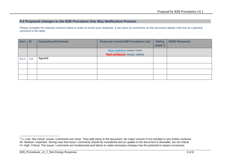### **9.4 Proposed changes to the B2B Procedure One Way Notification Process**

Please complete the relevant columns below in order to record your response. If you have no comments on this document please note this as a general comment in the table.

| <b>Item</b> | ID  | <b>Clause/Issue/Comment</b> | <b>Proposed revised B2B Procedures text</b> | <b>Rating</b>         | <b>AEMO Response</b> |
|-------------|-----|-----------------------------|---------------------------------------------|-----------------------|----------------------|
|             |     |                             |                                             | (H/M/L <sup>4</sup> ) |                      |
|             |     |                             | Blue underline means insert                 |                       |                      |
|             |     |                             | <b>Red strikeout</b> means delete           |                       |                      |
| 9.4.1       | 721 | Agreed                      |                                             |                       |                      |
|             |     |                             |                                             |                       |                      |
|             |     |                             |                                             |                       |                      |
|             |     |                             |                                             |                       |                      |

<sup>&</sup>lt;sup>4</sup> L= Low: Not critical. Issues / comments are minor. They add clarity to the document. No major concern if not included in any further revisions M= Medium: Important. Strong case that issue / comments should be considered and an update to the document is desirable, but not critical. H= High: Critical. The issues / comments are fundamental and failure to make necessary changes has the potential to impact consensus.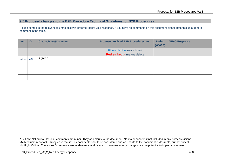#### **9.5 Proposed changes to the B2B Procedure Technical Guidelines for B2B Procedures**

Please complete the relevant columns below in order to record your response. If you have no comments on this document please note this as a general comment in the table.

| <b>Item</b> | ID  | <b>Clause/Issue/Comment</b> | <b>Proposed revised B2B Procedures text</b> | <b>Rating</b>         | <b>AEMO Response</b> |
|-------------|-----|-----------------------------|---------------------------------------------|-----------------------|----------------------|
|             |     |                             |                                             | (H/M/L <sup>5</sup> ) |                      |
|             |     |                             | Blue underline means insert                 |                       |                      |
|             |     |                             | <b>Red strikeout</b> means delete           |                       |                      |
| 9.5.1       | 721 | Agreed                      |                                             |                       |                      |
|             |     |                             |                                             |                       |                      |
|             |     |                             |                                             |                       |                      |
|             |     |                             |                                             |                       |                      |

 $5$  L= Low: Not critical. Issues / comments are minor. They add clarity to the document. No major concern if not included in any further revisions M= Medium: Important. Strong case that issue / comments should be considered and an update to the document is desirable, but not critical. H= High: Critical. The issues / comments are fundamental and failure to make necessary changes has the potential to impact consensus.